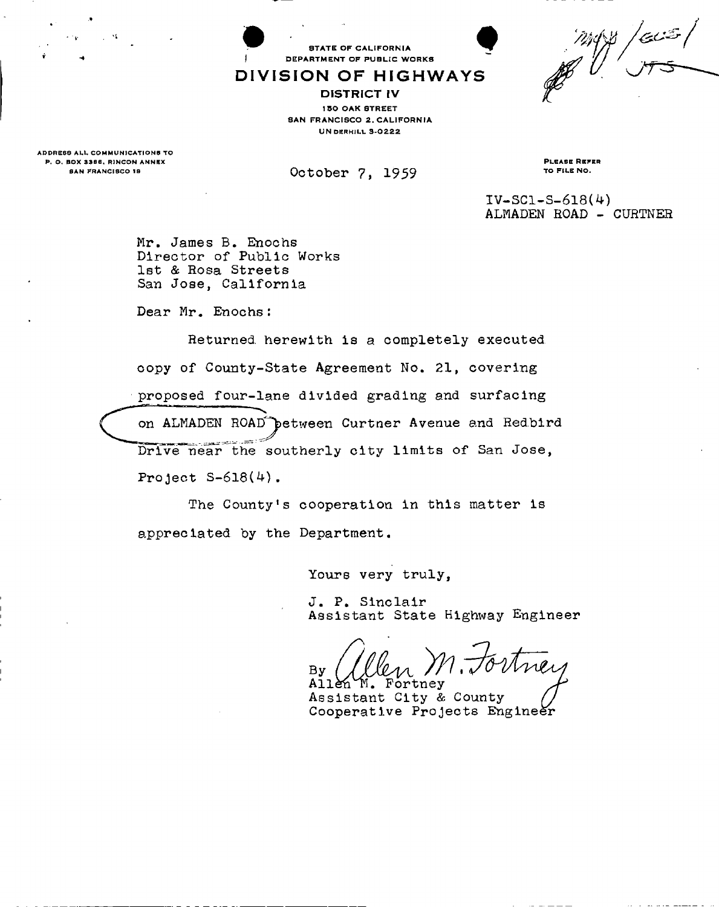$\beta\left/ c\omega\right.$ 

STATE OF CALIFORNIA DEPARTMENT OF PUBLIC WORKS

## DIVISION OF HIGHWAYS

DISTRICT IV 150 OAK STREET SAN FRANCISCO 2. CALIFORNIA **UN DERHILL 3-0222** 

ADDRESS ALL COMMUNICATIONS TO P. O. BOX 3386, RINCON ANNEX

SAN FRANCISCO 18 **DELLA COLODET** 7, 1959

PLEASE REFER TO FILE NO.

 $IV-SC1-S-618(4)$ **ALMADEN ROAD - CURTNER** 

**Mr. James B. Enochs Director of Public Works 1st & Rosa Streets San Jose, California** 

**Dear Mr. Enochs:** 

**Returned, herewith is a completely executed copy of County-State Agreement No. 21, covering proposed four-lane divided grading and surfacing on ALMADEN ROAD^jetween Curtner Avenue and Red.bird**  Drive near the southerly city limits of San Jose, **Project S-618(4).** 

**The County's cooperation in this matter is appreciated by the Department.** 

**Yours very truly,** 

**J. P. Sinclair Assistant State Highway Engineer** 

Aney **By All&hH . Fortney** 

**Assistant City & County Cooperative Projects Engineer**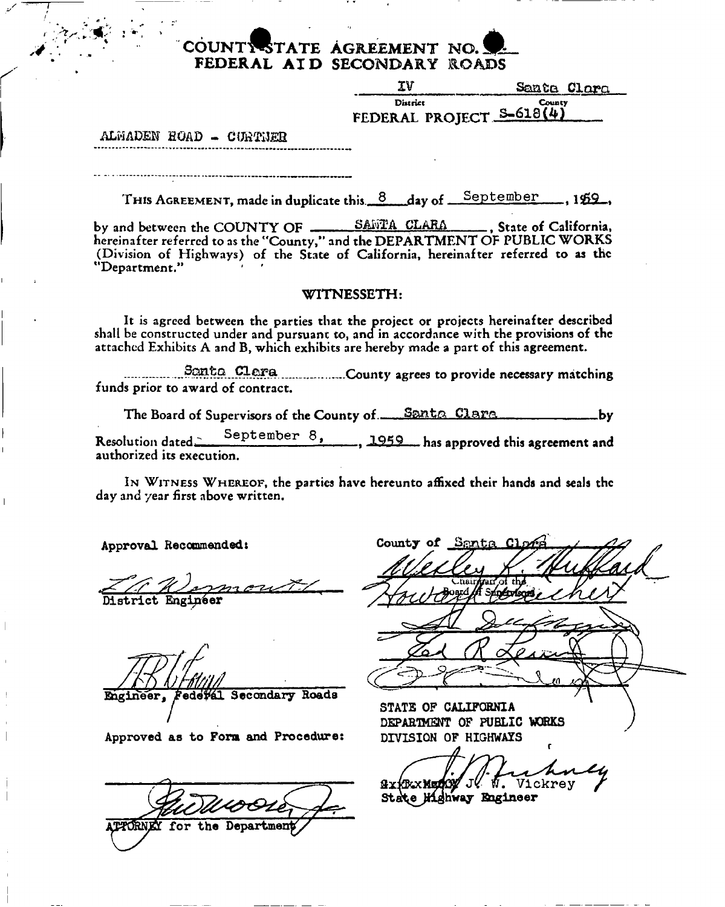# **COUNT-ESTATE AGREEMENT NO. FEDERAL AI D SECONDARY ROADS**

| TV                                   | Santa Clara |
|--------------------------------------|-------------|
| District<br>FEDERAL PROJECT S-618(4) | County      |
|                                      |             |

**ALMADEN EGAD - CUKTiJEH** 

THIS AGREEMENT, made in duplicate this 8 day of September , 159,

by and between the COUNTY OF \_\_\_\_\_\_\_\_ SAFTA CLARA  **State of California, hereinafter referred to as the "County," and the DEPARTMENT OF PUBLIC WORKS (Division of Highways) of the State of California, hereinafter referred to as the "Department." ' '** 

## **WITNESSETH:**

**It is agreed between the parties that the project or projects hereinafter described shall be constructed under and pursuant to, and in accordance with the provisions of the attached Exhibits A and B, which exhibits are hereby made a part of this agreement.** 

**COUNTY AGES** CLATA COUNTY agrees to provide necessary matching **funds prior to award of contract.** 

The Board of Supervisors of the County of <u>Santa Clara</u> **Contaggered** by Resolution dated. September 8, 1959 has approved this agreement and **authorized its execution.** 

**I N WITNESS WHEREOF, the parties have hereunto affixed their hands and seals the day and year first above written.** 

**Approval Recommended:** 

**District Engineer** 

**Engineer, Federal Secondary Roads** 

Approved as to Form and Procedure:

PTORNEY for the Department

County of Sorto

**STATE OF CALIFORNIA DEPARTMENT OF PUBLIC WOKKS DIVISION OF HIGHWAYS** 

GxKKxMuOOY JV V. Vickrey

State Highway Engineer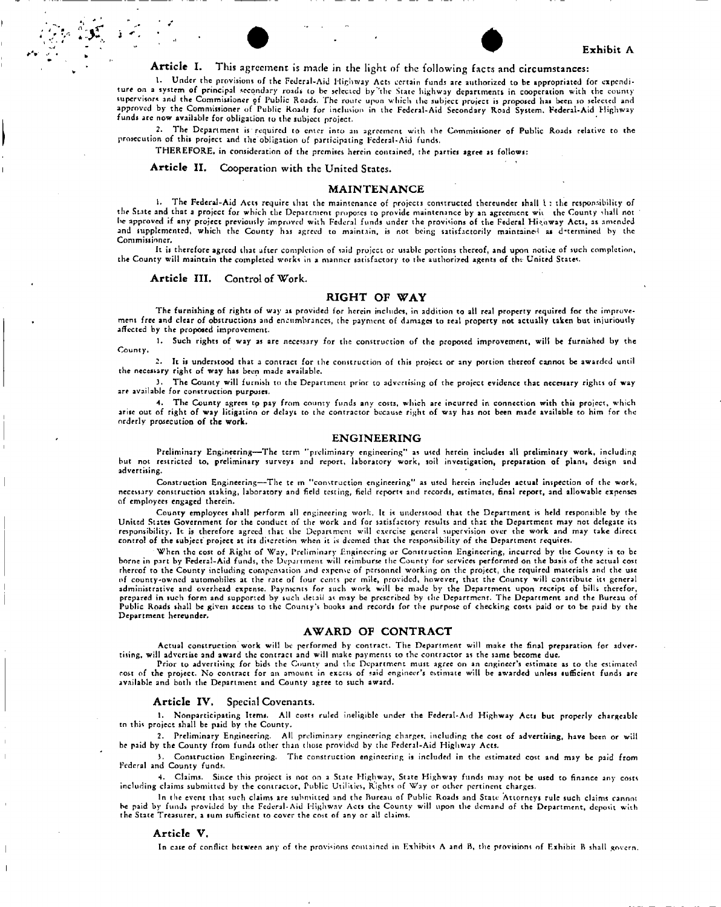## Exhibit A

## Article I. This agreement is made in the light of the following facts and circumstances:

1. Under the provisions of the Federal-Aid Highway Acts certain funds are authorized to be appropriated for expenditure on a system of principal secondary roads to be selected by "'the State highway departments in cooperation with the county supervisors and the Commissioner of Public Roads. The rourc upon which ihc subject project is proposed has been so selected and approved by the Commissioner of Public Roads for inclusion in the Federal-Aid Secondary Road System. Federal-Aid Highway funds are now available for obligation to the subject project.

2. The Department is required to cnicr into an agreement with the Commissioner of Public Roads relative to the prosecution of this project and the obligation of participating Federal-Aid funds.

THEREFORE, in consideration of the premises herein contained, the parties agree as follows:

Article II. Cooperation with the United States.

### MAINTENANCE

l. The Federal-Aid Acts require that the maintenance of projects constructed thereunder shall I : the responsibility of the State and that a project for which the Department propones to provide maintenance by an agreement wit the County shall not he approved if any project previously improved with Federal funds under the provisions of the Federal Higoway Acts, as amended and supplemented, which the County has agreed to maintain, is not being satisfactorily maintained as d'termined by the Commissioner.

It is therefore agreed that after completion of said project or usable portions thereof, and upon notice of such completion, the County will maintain the completed works in a manner satisfactory to the authorized agents of the United States.

#### Article III. Control of Work.

## RIGHT OF WAY

The furnishing of rights of way as provided for herein includes, in addition to all real property required for the improvement free and clear of obstructions and encumbrances, the payment of damages to real property not actually taken but injuriously affected by the proposed improvement.

1. Such rights of way as are necessary for the construction of the proposed improvement, will be furnished by the County.

2. It is understood that a contract for the construction of this project or any portion thereof cannot be awarded until the necessary right of way has been made available.

3. The County will furnish to the Department prior to advertising of the project evidence that necessary rights of way are available for construction purposes.

4. The County agrees to pay from county funds any costs, which are incurred in connection with this project, which arise out of right of way litigation or delays to the contractor because right of way has not been made available to him for the orderly prosecution of the work.

## ENGINEERING

Preliminary Engineering—The term "preliminary engineering" as used herein includes all preliminary work, including but not restricted to, preliminary surveys and report, laboratory work, soil investigation, preparation of plans, design and advertising.

Construction Engineering—The tc m "construction engineering" as used herein includes actual inspection of the work, necessary construction staking, laboratory and field testing, field reports and records, estimates, final report, and allowable expenses of employees engaged therein.

County employees shall perform all engineering work. It is understood that the Department is held responsible by the United States Government for the conduct of the work and for satisfactory results and that the Department may not delegate its responsibility. It is therefore agreed that the Department will exercise general supervision over the work and may take direct control of the subject project at its discretion when it is deemed that the responsibility of the Department requires.

When the cost of Right of Way, Preliminary Engineering or Construction Engineering, incurred by the County is to be borne in part by Federal-Aid funds, the Department will reimburse the County for services performed on the basis of the actual cost rhereof to the County including compensation and expense of personnel working on the project, the required materials and the use of county-owncd automobiles at the rate of four cents per mile, provided, however, tha t the County will contribute its general administrative and overhead expense. Payments for such work will be made by the Department upon receipt of bills therefor, prepared in such form and supported by such detail as may be prescribed by the Department. The Department and the Bureau of Public Roads shall be given access to the County's books and records for the purpose of checking costs paid or to be paid by the Department hereunder,

## AWARD OF CONTRACT

Actual construction work will be performed by contract. The Department will make the final preparation for advertising, will advertise and award the contract and will make payments to the contractor as the same become due.

Prior to advertising for bids the County and the Department must agree on an engineer's estimate as to the estimated cost of the project. No contract for an amount in excess of said engineer's estimate will be awarded unless sufficient funds are available and both the Department and County agree to such award.

### Article IV, Special Covenants.

1. Nonparticipating Itemi. All costs ruled ineligible under the Federal-Aid Highway Acts but properly chargeable tn this project shall be paid by the County.

2. Preliminary Engineering. All preliminary engineering charges, including the cost of advertising, have been or will be paid by the County from funds other than those provided by the Federal-Aid Highway Acts.

3. Construction Engineering. The construction engineering is included in the estimated cost and may be paid from Federal and County funds.

4. Claims. Since this project is not on a State Highway, State Highway funds may not be used to finance any costs including claims submitted by the contractor, Public Utilities, Rights of Way or other pertinent charges.

In the event that such claims are submitted and the Bureau of Public Roads and State Attorneys rule such claims cannot he paid by funds, provided by the Federal-Aid Highway Acts the County will upon the demand of the Department, deposit with the State Treasurer, a sum sufficient to cover the cost of any or all claims.

### Article V.

In case of conflict between any of the provisions contained in Exhibits A and B, the provisions of Exhibit B shall govern.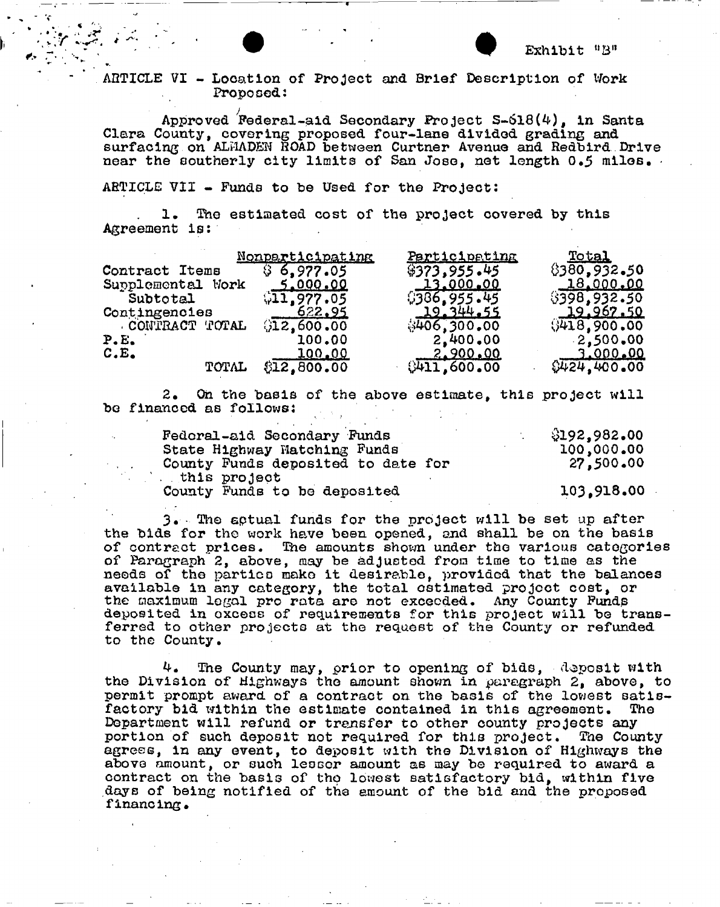**AHTICLE VI - Location of Project and Brief Description of Work Proposed:** 

**Approved ^Federal-aid Secondary Project 3-618(4), in Santa Clara County, covering proposed four-lane divided grading and surfacing on ALI1ADEN ROAD between Curtner Avenue and Redbird Drive near the southerly city limits of San Jose, net length 0.5 miles, •** 

**ARTICLE VII - Funds to be Used for the Project:** 

**1 . The estimated cost of the project covered by this Agreement is:** 

|                   | Nonparticipating | Participating    | Total            |
|-------------------|------------------|------------------|------------------|
| Contract Items    | \$6,977.05       | \$373,955.45     | 8380,932.50      |
| Supplemental Work | <u>_5.000.00</u> | <u>13.000.00</u> | <u>18,000.00</u> |
| Subtotal          | 611.977.05       | \$386,955.45     | \$398,932.50     |
| Contingencies     | 622.95           | 19.344.55        | 19.967.50        |
| CONTRACT TOTAL    | 912,600.00       | \$406,300,00     | (9418, 900, 00)  |
| P.E.              | 100.00           | 2,400.00         | $-2,500,00$      |
| C.E.              | 100.00           | <u>2.900.00</u>  | <u>3.000.00</u>  |
| TOTAL             | \$12,800.00      | 0411,600.00      | \$424.400.00     |

**2. Oh the basis of the above estimate, this project will be financed as follows:** 

| Fedoral-aid Secondary Funds        | \$192,982.00 |  |
|------------------------------------|--------------|--|
| State Highway Matching Funds       | 100,000.00   |  |
| County Funds deposited to date for | 27,500.00    |  |
| this project.                      |              |  |
| County Funds to be deposited       | 103,918.00   |  |

**3. 'Tfto eptual funds for the project will be set up after the bids for the work have been opened, and shall be on the basis of contract prices. The amounts shown under the various categories of Paragraph 2, above, may be adjusted from time to time as the needs of the parties make it desirable, provided that the balanoes available in any category, the total estimated project cost, or the maximum legal pro rata are not exceeded. Any County Fundp**  deposited in oxcess of requirements for this project will be trans**ferred to other projects at the request of the County or refunded to the County.** 

**4. The County may, prior to opening of bids, deposit with the Division of Highways the amount shown in paragraph 2, above, to permit prompt award of a contract on the basis of the lowest satisfactory bid within the estimate contained in this agreement. The Department will refund or transfer to other county projects any portion of such deposit not required for this project. The County agrees, in any event, to deposit with the Division of Highways the above amount, or such lessor amount as may be required to award a contract on the basis of tho lowest satisfactory bid, within five days of being notified of the amount of the bid and the proposed financing.**